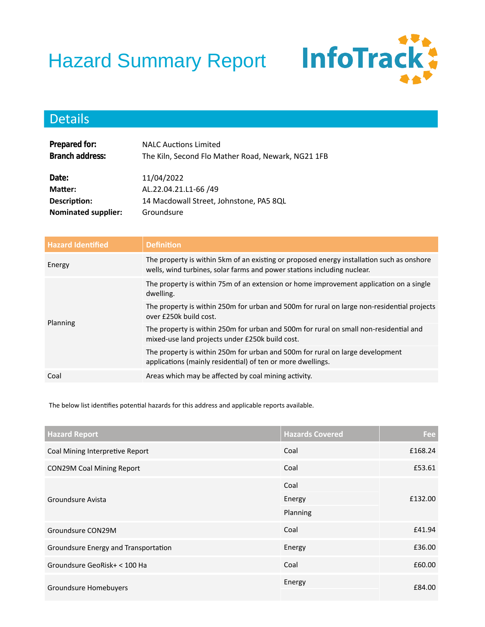## Hazard Summary Report



## Details

| Prepared for:              | <b>NALC Auctions Limited</b>                       |
|----------------------------|----------------------------------------------------|
| Branch address:            | The Kiln, Second Flo Mather Road, Newark, NG21 1FB |
|                            |                                                    |
| Date:                      | 11/04/2022                                         |
| Matter:                    | AL.22.04.21.L1-66 /49                              |
| Description:               | 14 Macdowall Street, Johnstone, PA5 8QL            |
| <b>Nominated supplier:</b> | Groundsure                                         |

| <b>Hazard Identified</b> | <b>Definition</b>                                                                                                                                                    |
|--------------------------|----------------------------------------------------------------------------------------------------------------------------------------------------------------------|
| Energy                   | The property is within 5km of an existing or proposed energy installation such as onshore<br>wells, wind turbines, solar farms and power stations including nuclear. |
| Planning                 | The property is within 75m of an extension or home improvement application on a single<br>dwelling.                                                                  |
|                          | The property is within 250m for urban and 500m for rural on large non-residential projects<br>over £250k build cost.                                                 |
|                          | The property is within 250m for urban and 500m for rural on small non-residential and<br>mixed-use land projects under £250k build cost.                             |
|                          | The property is within 250m for urban and 500m for rural on large development<br>applications (mainly residential) of ten or more dwellings.                         |
| Coal                     | Areas which may be affected by coal mining activity.                                                                                                                 |

The below list identifies potential hazards for this address and applicable reports available.

| <b>Hazard Report</b>                 | <b>Hazards Covered</b> | Fee     |
|--------------------------------------|------------------------|---------|
| Coal Mining Interpretive Report      | Coal                   | £168.24 |
| <b>CON29M Coal Mining Report</b>     | Coal                   | £53.61  |
|                                      | Coal                   | £132.00 |
| Groundsure Avista                    | Energy                 |         |
|                                      | Planning               |         |
| Groundsure CON29M                    | Coal                   | £41.94  |
| Groundsure Energy and Transportation | Energy                 | £36.00  |
| Groundsure GeoRisk+ < 100 Ha         | Coal                   | £60.00  |
| Groundsure Homebuyers                | Energy                 | £84.00  |